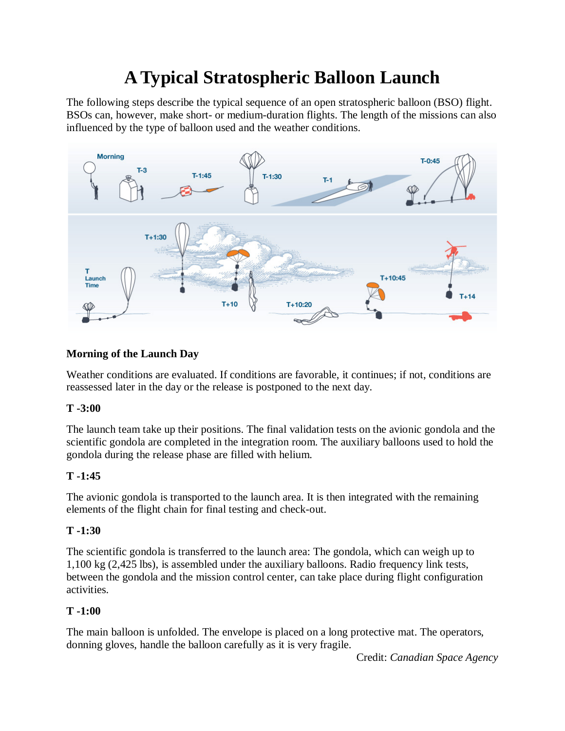# **A Typical Stratospheric Balloon Launch**

The following steps describe the typical sequence of an open stratospheric balloon (BSO) flight. BSOs can, however, make short- or medium-duration flights. The length of the missions can also influenced by the type of balloon used and the weather conditions.



# **Morning of the Launch Day**

Weather conditions are evaluated. If conditions are favorable, it continues; if not, conditions are reassessed later in the day or the release is postponed to the next day.

# **T -3:00**

The launch team take up their positions. The final validation tests on the avionic gondola and the scientific gondola are completed in the integration room. The auxiliary balloons used to hold the gondola during the release phase are filled with helium.

# **T -1:45**

The avionic gondola is transported to the launch area. It is then integrated with the remaining elements of the flight chain for final testing and check-out.

# **T -1:30**

The scientific gondola is transferred to the launch area: The gondola, which can weigh up to 1,100 kg (2,425 lbs), is assembled under the auxiliary balloons. Radio frequency link tests, between the gondola and the mission control center, can take place during flight configuration activities.

# **T -1:00**

The main balloon is unfolded. The envelope is placed on a long protective mat. The operators, donning gloves, handle the balloon carefully as it is very fragile.

Credit: *Canadian Space Agency*